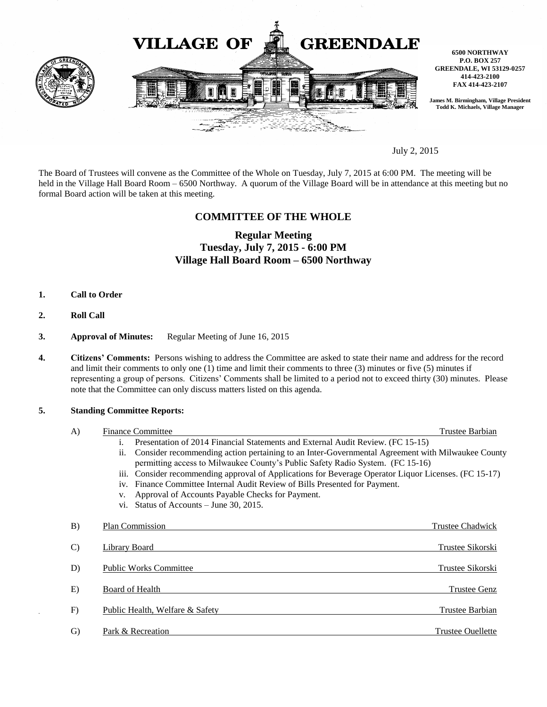

July 2, 2015

The Board of Trustees will convene as the Committee of the Whole on Tuesday, July 7, 2015 at 6:00 PM. The meeting will be held in the Village Hall Board Room – 6500 Northway. A quorum of the Village Board will be in attendance at this meeting but no formal Board action will be taken at this meeting.

## **COMMITTEE OF THE WHOLE**

# **Regular Meeting Tuesday, July 7, 2015 - 6:00 PM Village Hall Board Room – 6500 Northway**

- **1. Call to Order**
- **2. Roll Call**
- **3. Approval of Minutes:** Regular Meeting of June 16, 2015
- **4. Citizens' Comments:** Persons wishing to address the Committee are asked to state their name and address for the record and limit their comments to only one (1) time and limit their comments to three (3) minutes or five (5) minutes if representing a group of persons. Citizens' Comments shall be limited to a period not to exceed thirty (30) minutes. Please note that the Committee can only discuss matters listed on this agenda.

#### **5. Standing Committee Reports:**

| $\bf{A}$      | <b>Finance Committee</b>                                                                                | Trustee Barbian          |
|---------------|---------------------------------------------------------------------------------------------------------|--------------------------|
|               | Presentation of 2014 Financial Statements and External Audit Review. (FC 15-15)<br>$\mathbf{1}$ .       |                          |
|               | Consider recommending action pertaining to an Inter-Governmental Agreement with Milwaukee County<br>11. |                          |
|               | permitting access to Milwaukee County's Public Safety Radio System. (FC 15-16)                          |                          |
|               | iii. Consider recommending approval of Applications for Beverage Operator Liquor Licenses. (FC 15-17)   |                          |
|               | iv. Finance Committee Internal Audit Review of Bills Presented for Payment.                             |                          |
|               | Approval of Accounts Payable Checks for Payment.                                                        |                          |
|               | vi. Status of Accounts $-$ June 30, 2015.                                                               |                          |
| B)            | Plan Commission                                                                                         | Trustee Chadwick         |
| $\mathcal{C}$ | Library Board                                                                                           | Trustee Sikorski         |
| D)            | <b>Public Works Committee</b>                                                                           | Trustee Sikorski         |
| E)            | Board of Health                                                                                         | <b>Trustee Genz</b>      |
| F)            | Public Health, Welfare & Safety                                                                         | Trustee Barbian          |
| $\mathcal{G}$ | Park & Recreation                                                                                       | <b>Trustee Ouellette</b> |
|               |                                                                                                         |                          |